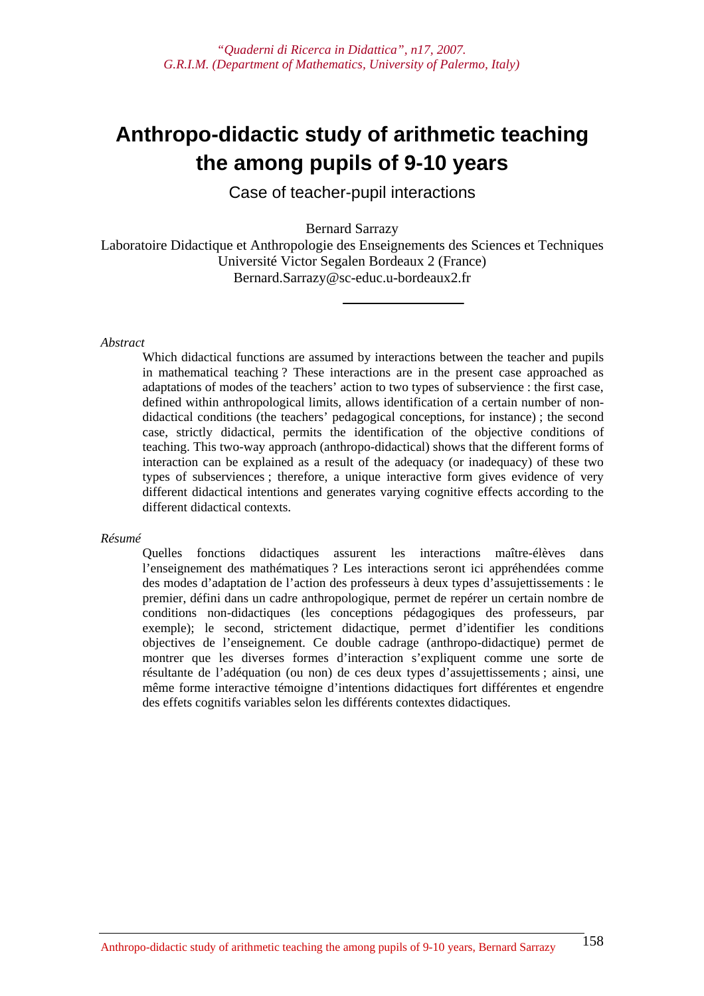# **Anthropo-didactic study of arithmetic teaching the among pupils of 9-10 years**

Case of teacher-pupil interactions

Bernard Sarrazy

Laboratoire Didactique et Anthropologie des Enseignements des Sciences et Techniques Université Victor Segalen Bordeaux 2 (France) Bernard.Sarrazy@sc-educ.u-bordeaux2.fr

#### *Abstract*

Which didactical functions are assumed by interactions between the teacher and pupils in mathematical teaching ? These interactions are in the present case approached as adaptations of modes of the teachers' action to two types of subservience : the first case, defined within anthropological limits, allows identification of a certain number of nondidactical conditions (the teachers' pedagogical conceptions, for instance) ; the second case, strictly didactical, permits the identification of the objective conditions of teaching. This two-way approach (anthropo-didactical) shows that the different forms of interaction can be explained as a result of the adequacy (or inadequacy) of these two types of subserviences ; therefore, a unique interactive form gives evidence of very different didactical intentions and generates varying cognitive effects according to the different didactical contexts.

#### *Résumé*

Quelles fonctions didactiques assurent les interactions maître-élèves dans l'enseignement des mathématiques ? Les interactions seront ici appréhendées comme des modes d'adaptation de l'action des professeurs à deux types d'assujettissements : le premier, défini dans un cadre anthropologique, permet de repérer un certain nombre de conditions non-didactiques (les conceptions pédagogiques des professeurs, par exemple); le second, strictement didactique, permet d'identifier les conditions objectives de l'enseignement. Ce double cadrage (anthropo-didactique) permet de montrer que les diverses formes d'interaction s'expliquent comme une sorte de résultante de l'adéquation (ou non) de ces deux types d'assujettissements ; ainsi, une même forme interactive témoigne d'intentions didactiques fort différentes et engendre des effets cognitifs variables selon les différents contextes didactiques.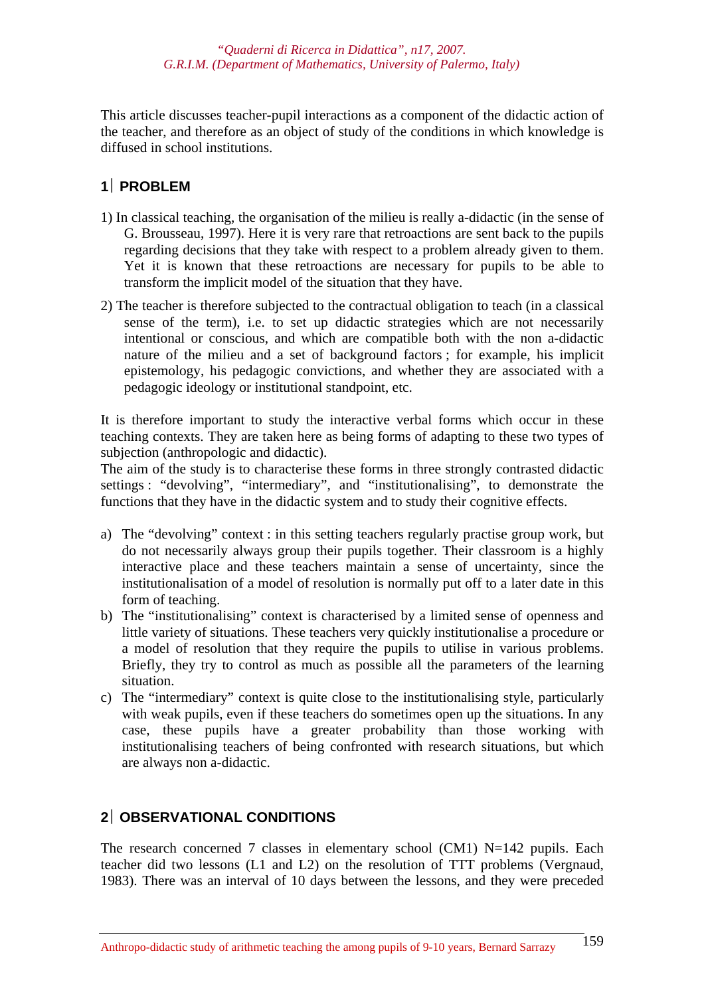This article discusses teacher-pupil interactions as a component of the didactic action of the teacher, and therefore as an object of study of the conditions in which knowledge is diffused in school institutions.

# **1**⎪ **PROBLEM**

- 1) In classical teaching, the organisation of the milieu is really a-didactic (in the sense of G. Brousseau, 1997). Here it is very rare that retroactions are sent back to the pupils regarding decisions that they take with respect to a problem already given to them. Yet it is known that these retroactions are necessary for pupils to be able to transform the implicit model of the situation that they have.
- 2) The teacher is therefore subjected to the contractual obligation to teach (in a classical sense of the term), i.e. to set up didactic strategies which are not necessarily intentional or conscious, and which are compatible both with the non a-didactic nature of the milieu and a set of background factors ; for example, his implicit epistemology, his pedagogic convictions, and whether they are associated with a pedagogic ideology or institutional standpoint, etc.

It is therefore important to study the interactive verbal forms which occur in these teaching contexts. They are taken here as being forms of adapting to these two types of subjection (anthropologic and didactic).

The aim of the study is to characterise these forms in three strongly contrasted didactic settings : "devolving", "intermediary", and "institutionalising", to demonstrate the functions that they have in the didactic system and to study their cognitive effects.

- a) The "devolving" context : in this setting teachers regularly practise group work, but do not necessarily always group their pupils together. Their classroom is a highly interactive place and these teachers maintain a sense of uncertainty, since the institutionalisation of a model of resolution is normally put off to a later date in this form of teaching.
- b) The "institutionalising" context is characterised by a limited sense of openness and little variety of situations. These teachers very quickly institutionalise a procedure or a model of resolution that they require the pupils to utilise in various problems. Briefly, they try to control as much as possible all the parameters of the learning situation.
- c) The "intermediary" context is quite close to the institutionalising style, particularly with weak pupils, even if these teachers do sometimes open up the situations. In any case, these pupils have a greater probability than those working with institutionalising teachers of being confronted with research situations, but which are always non a-didactic.

# **2**⎪ **OBSERVATIONAL CONDITIONS**

The research concerned 7 classes in elementary school (CM1) N=142 pupils. Each teacher did two lessons (L1 and L2) on the resolution of TTT problems (Vergnaud, 1983). There was an interval of 10 days between the lessons, and they were preceded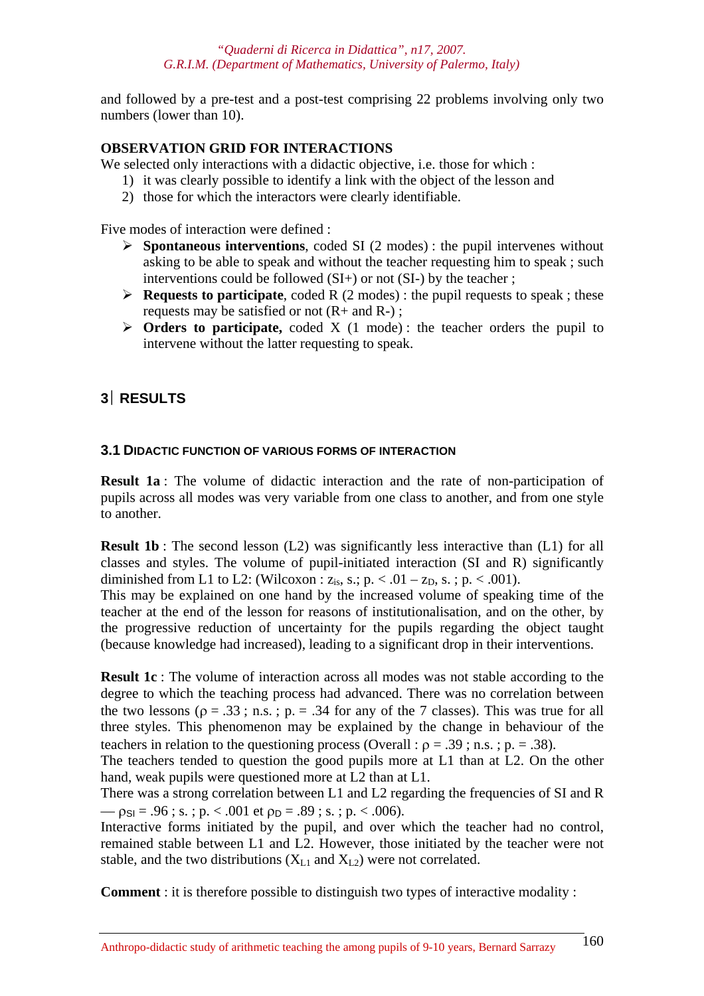and followed by a pre-test and a post-test comprising 22 problems involving only two numbers (lower than 10).

# **OBSERVATION GRID FOR INTERACTIONS**

We selected only interactions with a didactic objective, i.e. those for which :

- 1) it was clearly possible to identify a link with the object of the lesson and
- 2) those for which the interactors were clearly identifiable.

Five modes of interaction were defined :

- ¾ **Spontaneous interventions**, coded SI (2 modes) : the pupil intervenes without asking to be able to speak and without the teacher requesting him to speak ; such interventions could be followed (SI+) or not (SI-) by the teacher :
- ¾ **Requests to participate**, coded R (2 modes) : the pupil requests to speak ; these requests may be satisfied or not  $(R+$  and  $R-)$ ;
- ¾ **Orders to participate,** coded X (1 mode) : the teacher orders the pupil to intervene without the latter requesting to speak.

# **3**⎪ **RESULTS**

# **3.1 DIDACTIC FUNCTION OF VARIOUS FORMS OF INTERACTION**

**Result 1a** : The volume of didactic interaction and the rate of non-participation of pupils across all modes was very variable from one class to another, and from one style to another.

**Result 1b**: The second lesson (L2) was significantly less interactive than (L1) for all classes and styles. The volume of pupil-initiated interaction (SI and R) significantly diminished from L1 to L2: (Wilcoxon :  $z_{is}$ , s.; p. < .01 –  $z_{D}$ , s.; p. < .001).

This may be explained on one hand by the increased volume of speaking time of the teacher at the end of the lesson for reasons of institutionalisation, and on the other, by the progressive reduction of uncertainty for the pupils regarding the object taught (because knowledge had increased), leading to a significant drop in their interventions.

**Result 1c** : The volume of interaction across all modes was not stable according to the degree to which the teaching process had advanced. There was no correlation between the two lessons ( $\rho = .33$ ; n.s.;  $p = .34$  for any of the 7 classes). This was true for all three styles. This phenomenon may be explained by the change in behaviour of the teachers in relation to the questioning process (Overall :  $\rho = .39$ ; n.s.; p. = .38).

The teachers tended to question the good pupils more at L1 than at L2. On the other hand, weak pupils were questioned more at L2 than at L1.

There was a strong correlation between L1 and L2 regarding the frequencies of SI and R  $-\rho_{\text{SI}} = .96$ ; s.; p. < .001 et  $\rho_{\text{D}} = .89$ ; s.; p. < .006).

Interactive forms initiated by the pupil, and over which the teacher had no control, remained stable between L1 and L2. However, those initiated by the teacher were not stable, and the two distributions  $(X_{L1}$  and  $X_{L2})$  were not correlated.

**Comment** : it is therefore possible to distinguish two types of interactive modality :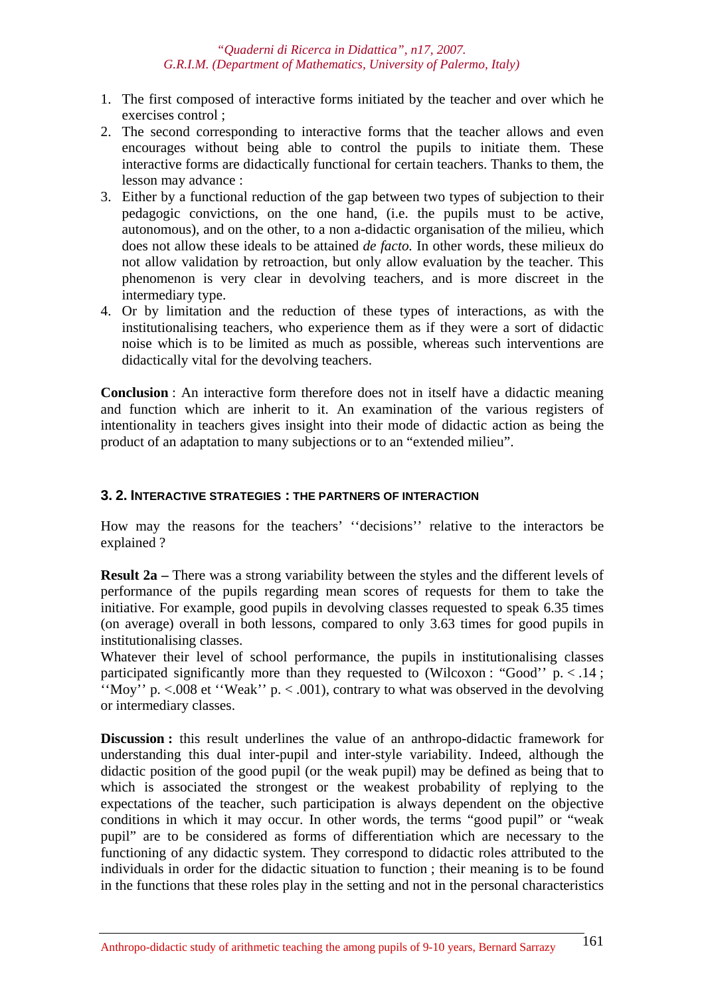- 1. The first composed of interactive forms initiated by the teacher and over which he exercises control ;
- 2. The second corresponding to interactive forms that the teacher allows and even encourages without being able to control the pupils to initiate them. These interactive forms are didactically functional for certain teachers. Thanks to them, the lesson may advance :
- 3. Either by a functional reduction of the gap between two types of subjection to their pedagogic convictions, on the one hand, (i.e. the pupils must to be active, autonomous), and on the other, to a non a-didactic organisation of the milieu, which does not allow these ideals to be attained *de facto.* In other words, these milieux do not allow validation by retroaction, but only allow evaluation by the teacher. This phenomenon is very clear in devolving teachers, and is more discreet in the intermediary type.
- 4. Or by limitation and the reduction of these types of interactions, as with the institutionalising teachers, who experience them as if they were a sort of didactic noise which is to be limited as much as possible, whereas such interventions are didactically vital for the devolving teachers.

**Conclusion** : An interactive form therefore does not in itself have a didactic meaning and function which are inherit to it. An examination of the various registers of intentionality in teachers gives insight into their mode of didactic action as being the product of an adaptation to many subjections or to an "extended milieu".

### **3. 2. INTERACTIVE STRATEGIES : THE PARTNERS OF INTERACTION**

How may the reasons for the teachers' ''decisions'' relative to the interactors be explained ?

**Result 2a** – There was a strong variability between the styles and the different levels of performance of the pupils regarding mean scores of requests for them to take the initiative. For example, good pupils in devolving classes requested to speak 6.35 times (on average) overall in both lessons, compared to only 3.63 times for good pupils in institutionalising classes.

Whatever their level of school performance, the pupils in institutionalising classes participated significantly more than they requested to (Wilcoxon : "Good"  $p \le 14$ ; "Moy" p.  $<$  008 et "Weak" p.  $<$  001), contrary to what was observed in the devolving or intermediary classes.

**Discussion :** this result underlines the value of an anthropo-didactic framework for understanding this dual inter-pupil and inter-style variability. Indeed, although the didactic position of the good pupil (or the weak pupil) may be defined as being that to which is associated the strongest or the weakest probability of replying to the expectations of the teacher, such participation is always dependent on the objective conditions in which it may occur. In other words, the terms "good pupil" or "weak pupil" are to be considered as forms of differentiation which are necessary to the functioning of any didactic system. They correspond to didactic roles attributed to the individuals in order for the didactic situation to function ; their meaning is to be found in the functions that these roles play in the setting and not in the personal characteristics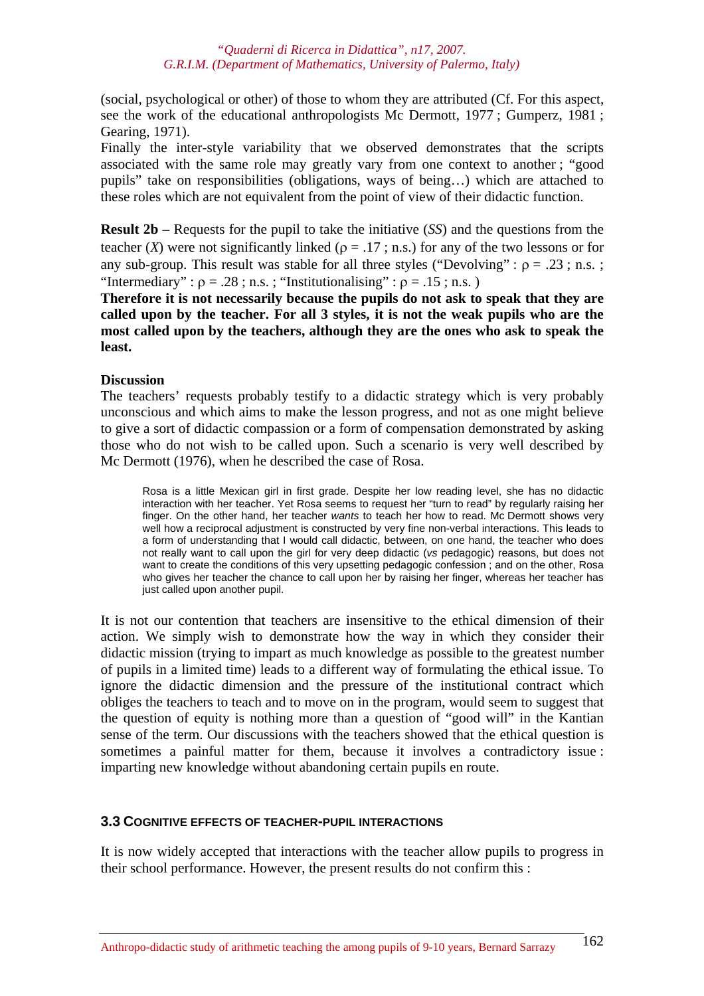(social, psychological or other) of those to whom they are attributed (Cf. For this aspect, see the work of the educational anthropologists Mc Dermott, 1977 ; Gumperz, 1981 ; Gearing, 1971).

Finally the inter-style variability that we observed demonstrates that the scripts associated with the same role may greatly vary from one context to another ; "good pupils" take on responsibilities (obligations, ways of being…) which are attached to these roles which are not equivalent from the point of view of their didactic function.

**Result 2b –** Requests for the pupil to take the initiative (*SS*) and the questions from the teacher (*X*) were not significantly linked ( $\rho = .17$ ; n.s.) for any of the two lessons or for any sub-group. This result was stable for all three styles ("Devolving" :  $\rho = .23$ ; n.s.; "Intermediary" :  $\rho = .28$  ; n.s. ; "Institutionalising" :  $\rho = .15$  ; n.s.)

**Therefore it is not necessarily because the pupils do not ask to speak that they are called upon by the teacher. For all 3 styles, it is not the weak pupils who are the most called upon by the teachers, although they are the ones who ask to speak the least.** 

## **Discussion**

The teachers' requests probably testify to a didactic strategy which is very probably unconscious and which aims to make the lesson progress, and not as one might believe to give a sort of didactic compassion or a form of compensation demonstrated by asking those who do not wish to be called upon. Such a scenario is very well described by Mc Dermott (1976), when he described the case of Rosa.

Rosa is a little Mexican girl in first grade. Despite her low reading level, she has no didactic interaction with her teacher. Yet Rosa seems to request her "turn to read" by regularly raising her finger. On the other hand, her teacher *wants* to teach her how to read. Mc Dermott shows very well how a reciprocal adjustment is constructed by very fine non-verbal interactions. This leads to a form of understanding that I would call didactic, between, on one hand, the teacher who does not really want to call upon the girl for very deep didactic (*vs* pedagogic) reasons, but does not want to create the conditions of this very upsetting pedagogic confession ; and on the other, Rosa who gives her teacher the chance to call upon her by raising her finger, whereas her teacher has just called upon another pupil.

It is not our contention that teachers are insensitive to the ethical dimension of their action. We simply wish to demonstrate how the way in which they consider their didactic mission (trying to impart as much knowledge as possible to the greatest number of pupils in a limited time) leads to a different way of formulating the ethical issue. To ignore the didactic dimension and the pressure of the institutional contract which obliges the teachers to teach and to move on in the program, would seem to suggest that the question of equity is nothing more than a question of "good will" in the Kantian sense of the term. Our discussions with the teachers showed that the ethical question is sometimes a painful matter for them, because it involves a contradictory issue : imparting new knowledge without abandoning certain pupils en route.

# **3.3 COGNITIVE EFFECTS OF TEACHER-PUPIL INTERACTIONS**

It is now widely accepted that interactions with the teacher allow pupils to progress in their school performance. However, the present results do not confirm this :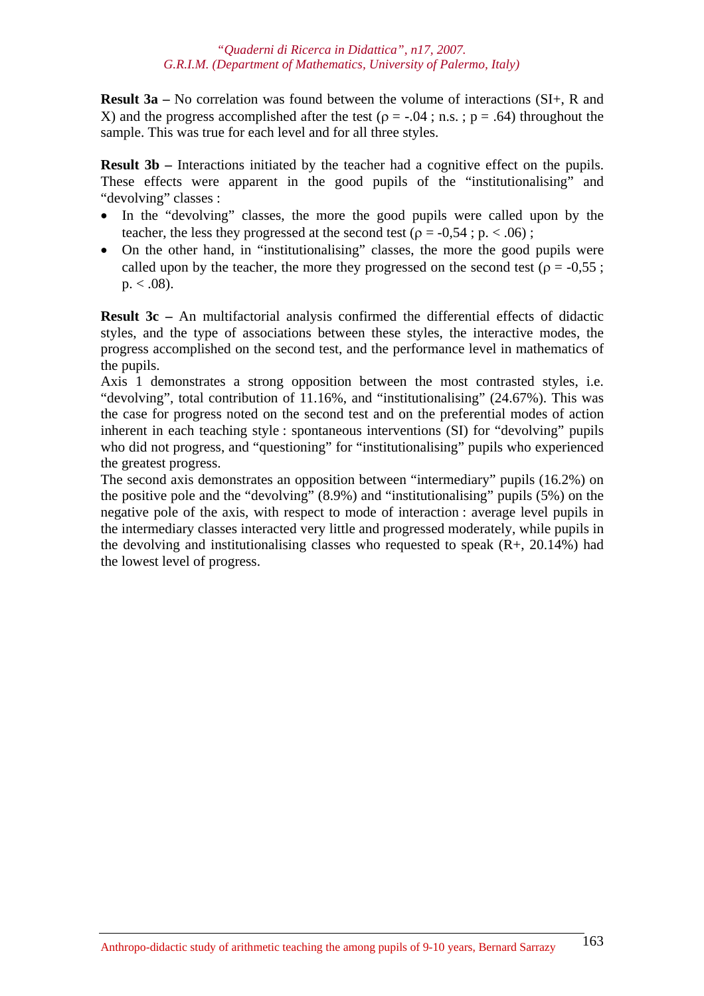**Result 3a –** No correlation was found between the volume of interactions (SI+, R and X) and the progress accomplished after the test ( $\rho = -.04$ ; n.s.;  $p = .64$ ) throughout the sample. This was true for each level and for all three styles.

**Result 3b** – Interactions initiated by the teacher had a cognitive effect on the pupils. These effects were apparent in the good pupils of the "institutionalising" and "devolving" classes :

- In the "devolving" classes, the more the good pupils were called upon by the teacher, the less they progressed at the second test ( $\rho = -0.54$ ; p. < .06);
- On the other hand, in "institutionalising" classes, the more the good pupils were called upon by the teacher, the more they progressed on the second test ( $\rho = -0.55$ ;  $p. < .08$ ).

**Result 3c –** An multifactorial analysis confirmed the differential effects of didactic styles, and the type of associations between these styles, the interactive modes, the progress accomplished on the second test, and the performance level in mathematics of the pupils.

Axis 1 demonstrates a strong opposition between the most contrasted styles, i.e. "devolving", total contribution of 11.16%, and "institutionalising" (24.67%). This was the case for progress noted on the second test and on the preferential modes of action inherent in each teaching style : spontaneous interventions (SI) for "devolving" pupils who did not progress, and "questioning" for "institutionalising" pupils who experienced the greatest progress.

The second axis demonstrates an opposition between "intermediary" pupils (16.2%) on the positive pole and the "devolving" (8.9%) and "institutionalising" pupils (5%) on the negative pole of the axis, with respect to mode of interaction : average level pupils in the intermediary classes interacted very little and progressed moderately, while pupils in the devolving and institutionalising classes who requested to speak  $(R+, 20.14%)$  had the lowest level of progress.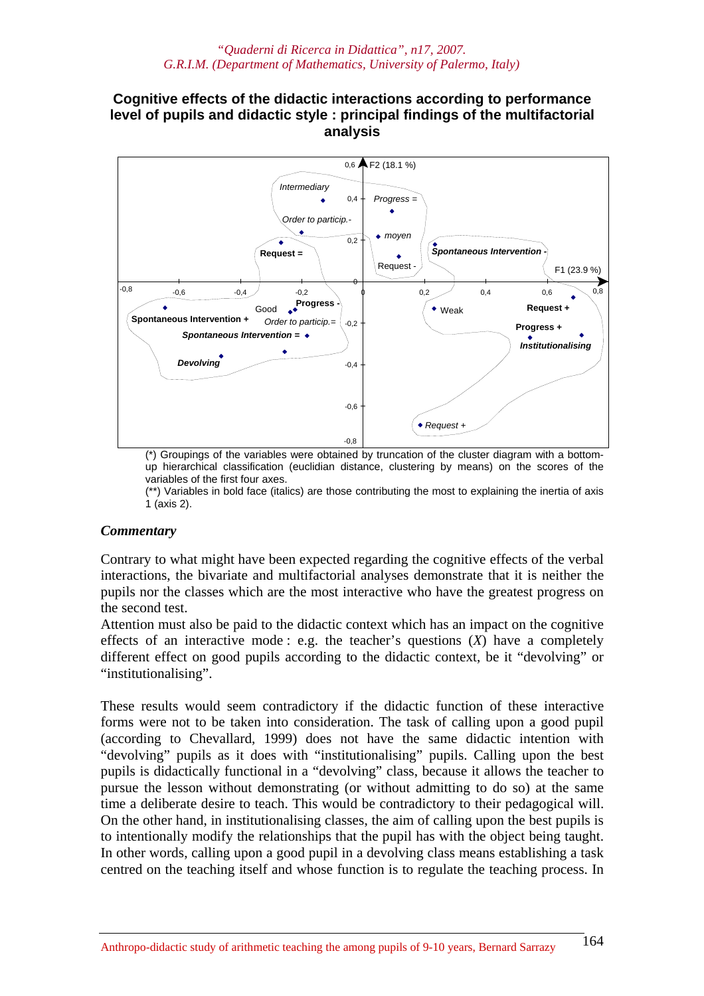# **Cognitive effects of the didactic interactions according to performance level of pupils and didactic style : principal findings of the multifactorial analysis**



(\*) Groupings of the variables were obtained by truncation of the cluster diagram with a bottomup hierarchical classification (euclidian distance, clustering by means) on the scores of the variables of the first four axes.

(\*\*) Variables in bold face (italics) are those contributing the most to explaining the inertia of axis 1 (axis 2).

## *Commentary*

Contrary to what might have been expected regarding the cognitive effects of the verbal interactions, the bivariate and multifactorial analyses demonstrate that it is neither the pupils nor the classes which are the most interactive who have the greatest progress on the second test.

Attention must also be paid to the didactic context which has an impact on the cognitive effects of an interactive mode : e.g. the teacher's questions (*X*) have a completely different effect on good pupils according to the didactic context, be it "devolving" or "institutionalising".

These results would seem contradictory if the didactic function of these interactive forms were not to be taken into consideration. The task of calling upon a good pupil (according to Chevallard, 1999) does not have the same didactic intention with "devolving" pupils as it does with "institutionalising" pupils. Calling upon the best pupils is didactically functional in a "devolving" class, because it allows the teacher to pursue the lesson without demonstrating (or without admitting to do so) at the same time a deliberate desire to teach. This would be contradictory to their pedagogical will. On the other hand, in institutionalising classes, the aim of calling upon the best pupils is to intentionally modify the relationships that the pupil has with the object being taught. In other words, calling upon a good pupil in a devolving class means establishing a task centred on the teaching itself and whose function is to regulate the teaching process. In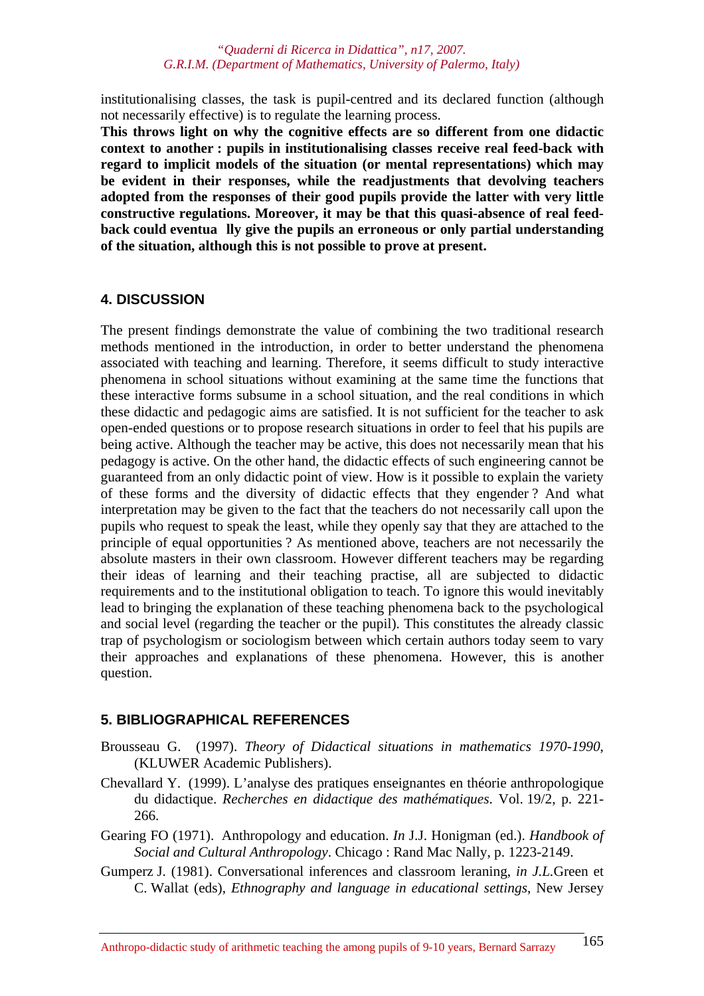institutionalising classes, the task is pupil-centred and its declared function (although not necessarily effective) is to regulate the learning process.

**This throws light on why the cognitive effects are so different from one didactic context to another : pupils in institutionalising classes receive real feed-back with regard to implicit models of the situation (or mental representations) which may be evident in their responses, while the readjustments that devolving teachers adopted from the responses of their good pupils provide the latter with very little constructive regulations. Moreover, it may be that this quasi-absence of real feedback could eventua lly give the pupils an erroneous or only partial understanding of the situation, although this is not possible to prove at present.** 

#### **4. DISCUSSION**

The present findings demonstrate the value of combining the two traditional research methods mentioned in the introduction, in order to better understand the phenomena associated with teaching and learning. Therefore, it seems difficult to study interactive phenomena in school situations without examining at the same time the functions that these interactive forms subsume in a school situation, and the real conditions in which these didactic and pedagogic aims are satisfied. It is not sufficient for the teacher to ask open-ended questions or to propose research situations in order to feel that his pupils are being active. Although the teacher may be active, this does not necessarily mean that his pedagogy is active. On the other hand, the didactic effects of such engineering cannot be guaranteed from an only didactic point of view. How is it possible to explain the variety of these forms and the diversity of didactic effects that they engender ? And what interpretation may be given to the fact that the teachers do not necessarily call upon the pupils who request to speak the least, while they openly say that they are attached to the principle of equal opportunities ? As mentioned above, teachers are not necessarily the absolute masters in their own classroom. However different teachers may be regarding their ideas of learning and their teaching practise, all are subjected to didactic requirements and to the institutional obligation to teach. To ignore this would inevitably lead to bringing the explanation of these teaching phenomena back to the psychological and social level (regarding the teacher or the pupil). This constitutes the already classic trap of psychologism or sociologism between which certain authors today seem to vary their approaches and explanations of these phenomena. However, this is another question.

## **5. BIBLIOGRAPHICAL REFERENCES**

- Brousseau G. (1997). *Theory of Didactical situations in mathematics 1970-1990*, (KLUWER Academic Publishers).
- Chevallard Y. (1999). L'analyse des pratiques enseignantes en théorie anthropologique du didactique. *Recherches en didactique des mathématiques*. Vol. 19/2, p. 221- 266.
- Gearing FO (1971). Anthropology and education. *In* J.J. Honigman (ed.). *Handbook of Social and Cultural Anthropology*. Chicago : Rand Mac Nally, p. 1223-2149.
- Gumperz J. (1981). Conversational inferences and classroom leraning, *in J.L.*Green et C. Wallat (eds), *Ethnography and language in educational settings*, New Jersey